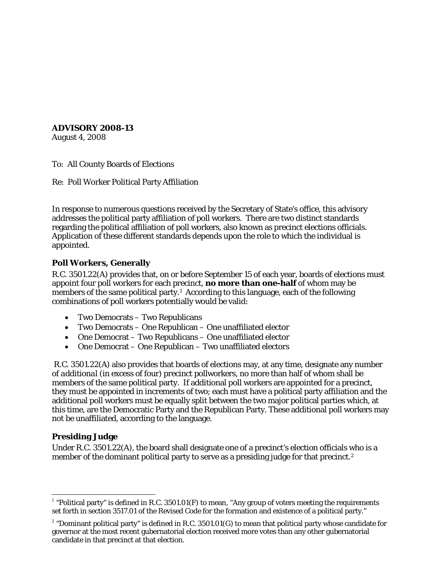**ADVISORY 2008-13**

August 4, 2008

To: All County Boards of Elections

Re: Poll Worker Political Party Affiliation

In response to numerous questions received by the Secretary of State's office, this advisory addresses the political party affiliation of poll workers. There are two distinct standards regarding the political affiliation of poll workers, also known as precinct elections officials. Application of these different standards depends upon the role to which the individual is appointed.

## **Poll Workers, Generally**

R.C. 3501.22(A) provides that, on or before September 15 of each year, boards of elections must appoint four poll workers for each precinct, **no more than one-half** of whom may be members of the same political party.<sup>[1](#page-0-0)</sup> According to this language, each of the following combinations of poll workers potentially would be valid:

- Two Democrats Two Republicans
- Two Democrats One Republican One unaffiliated elector
- One Democrat Two Republicans One unaffiliated elector
- One Democrat One Republican Two unaffiliated electors

R.C. 3501.22(A) also provides that boards of elections may, at any time, designate any number of *additional* (in excess of four) precinct pollworkers, no more than half of whom shall be members of the same political party. If additional poll workers are appointed for a precinct, they must be appointed in increments of two; each must have a political party affiliation and the additional poll workers must be equally split between the two major political parties which, at this time, are the Democratic Party and the Republican Party. These additional poll workers may not be unaffiliated, according to the language.

## **Presiding Judge**

Under R.C. 3501.22(A), the board shall designate one of a precinct's election officials who is a member of the dominant political party to serve as a presiding judge for that precinct.<sup>[2](#page-0-1)</sup>

<span id="page-0-0"></span> $1$  "Political party" is defined in R.C. 3501.01(F) to mean, "Any group of voters meeting the requirements set forth in section 3517.01 of the Revised Code for the formation and existence of a political party."

<span id="page-0-1"></span><sup>&</sup>lt;sup>2</sup> "Dominant political party" is defined in R.C. 3501.01(G) to mean that political party whose candidate for governor at the most recent gubernatorial election received more votes than any other gubernatorial candidate in that precinct at that election.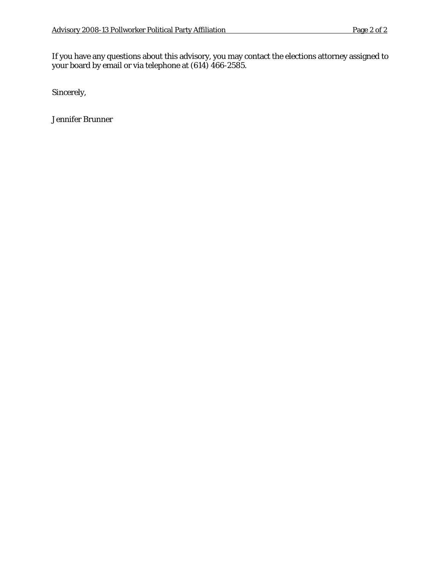If you have any questions about this advisory, you may contact the elections attorney assigned to your board by email or via telephone at (614) 466-2585.

Sincerely,

Jennifer Brunner